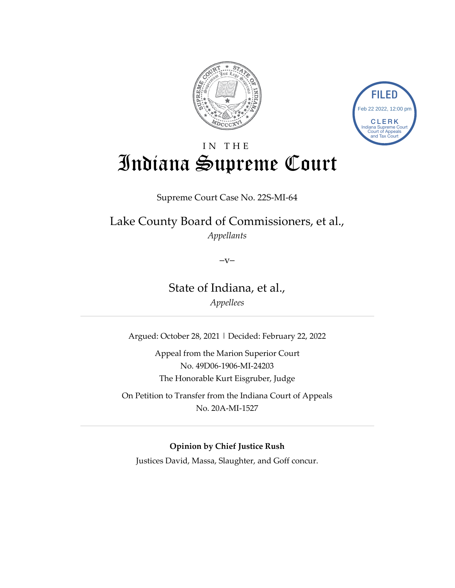



# IN THE Indiana Supreme Court

Supreme Court Case No. 22S-MI-64

Lake County Board of Commissioners, et al., *Appellants*

 $-V-$ 

State of Indiana, et al., *Appellees*

Argued: October 28, 2021 | Decided: February 22, 2022

Appeal from the Marion Superior Court No. 49D06-1906-MI-24203 The Honorable Kurt Eisgruber, Judge

On Petition to Transfer from the Indiana Court of Appeals No. 20A-MI-1527

**Opinion by Chief Justice Rush**

Justices David, Massa, Slaughter, and Goff concur.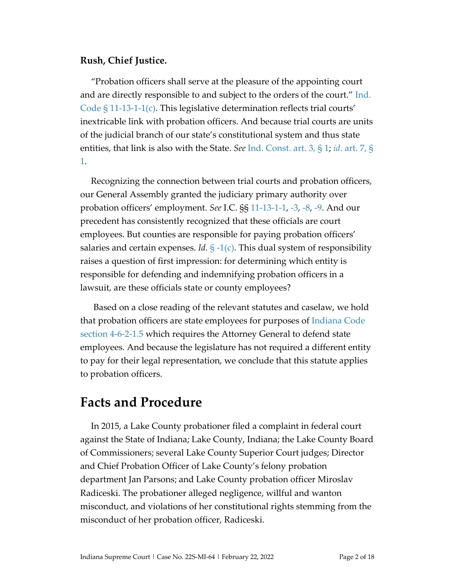#### **Rush, Chief Justice.**

"Probation officers shall serve at the pleasure of the appointing court and are directly responsible to and subject to the orders of the court." [Ind.](https://www.westlaw.com/Document/N45E3727080C811DB8132CD13D2280436/View/FullText.html?transitionType=Default&contextData=(sc.Default)&VR=3.0&RS=da3.0)  Code  $\S 11$ -13-1-1(c). This legislative determination reflects trial courts' inextricable link with probation officers. And because trial courts are units of the judicial branch of our state's constitutional system and thus state entities, that link is also with the State. *See* [Ind. Const. art.](https://www.westlaw.com/Document/N0EDA088080A911DB8132CD13D2280436/View/FullText.html?transitionType=Default&contextData=(sc.Default)&VR=3.0&RS=da3.0) 3, § 1; *id.* [art. 7,](https://www.westlaw.com/Document/N51D8C27080A911DB8132CD13D2280436/View/FullText.html?transitionType=Default&contextData=(sc.Default)&VR=3.0&RS=da3.0) § [1.](https://www.westlaw.com/Document/N51D8C27080A911DB8132CD13D2280436/View/FullText.html?transitionType=Default&contextData=(sc.Default)&VR=3.0&RS=da3.0)

Recognizing the connection between trial courts and probation officers, our General Assembly granted the judiciary primary authority over probation officers' employment. *See* I.C. §§ [11-13-1-1,](https://1.next.westlaw.com/Document/N45E3727080C811DB8132CD13D2280436/View/FullText.html?transitionType=UniqueDocItem&contextData=(sc.Category)&userEnteredCitation=I.C.+11-13-1-1) [-3,](https://1.next.westlaw.com/Document/N47CA5AE080C811DB8132CD13D2280436/View/FullText.html?navigationPath=Search%2Fv1%2Fresults%2Fnavigation%2Fi0ad62af00000017f1e250d779704e2d1%3Fppcid%3D0ca0c3aab6e94252be4749dd47f506e3%26Nav%3DMULTIPLECITATIONS%26fragmentIdentifier%3DN47CA5AE080C811DB8132CD13D2280436%26parentRank%3D0%26startIndex%3D1%26contextData%3D%2528sc.Search%2529%26transitionType%3DUniqueDocItem&listSource=Search&listPageSource=cd550acd5a9228304d0172582fed2bec&list=MULTIPLECITATIONS&sessionScopeId=728a173d73ad434df02d057fdc38b161d6760140aa7da20d24da7633ed01d1ba&ppcid=0ca0c3aab6e94252be4749dd47f506e3&originationContext=NonUniqueFindSelected&transitionType=UniqueDocItem&contextData=%28sc.Search%29) [-8,](https://1.next.westlaw.com/Document/N658C26205E4811E8B1B5CC4C5AFA2AA4/View/FullText.html?originationContext=documenttoc&transitionType=CategoryPageItem&contextData=(sc.Default)) [-9.](https://1.next.westlaw.com/Document/NB7EBB5D0CB7F11E3BAA7F0D342D41184/View/FullText.html?originationContext=documenttoc&transitionType=CategoryPageItem&contextData=(sc.Default)) And our precedent has consistently recognized that these officials are court employees. But counties are responsible for paying probation officers' salaries and certain expenses. *Id.* [§ -1\(c\).](https://1.next.westlaw.com/Document/N45E3727080C811DB8132CD13D2280436/View/FullText.html?transitionType=UniqueDocItem&contextData=(sc.Category)&userEnteredCitation=I.C.+11-13-1-1) This dual system of responsibility raises a question of first impression: for determining which entity is responsible for defending and indemnifying probation officers in a lawsuit, are these officials state or county employees?

Based on a close reading of the relevant statutes and caselaw, we hold that probation officers are state employees for purposes of [Indiana Code](https://www.westlaw.com/Document/NF04FC120722011EAB5A993E82E59B805/View/FullText.html?transitionType=Default&contextData=(sc.Default)&VR=3.0&RS=da3.0)  [section 4-6-2-1.5](https://www.westlaw.com/Document/NF04FC120722011EAB5A993E82E59B805/View/FullText.html?transitionType=Default&contextData=(sc.Default)&VR=3.0&RS=da3.0) which requires the Attorney General to defend state employees. And because the legislature has not required a different entity to pay for their legal representation, we conclude that this statute applies to probation officers.

### **Facts and Procedure**

In 2015, a Lake County probationer filed a complaint in federal court against the State of Indiana; Lake County, Indiana; the Lake County Board of Commissioners; several Lake County Superior Court judges; Director and Chief Probation Officer of Lake County's felony probation department Jan Parsons; and Lake County probation officer Miroslav Radiceski. The probationer alleged negligence, willful and wanton misconduct, and violations of her constitutional rights stemming from the misconduct of her probation officer, Radiceski.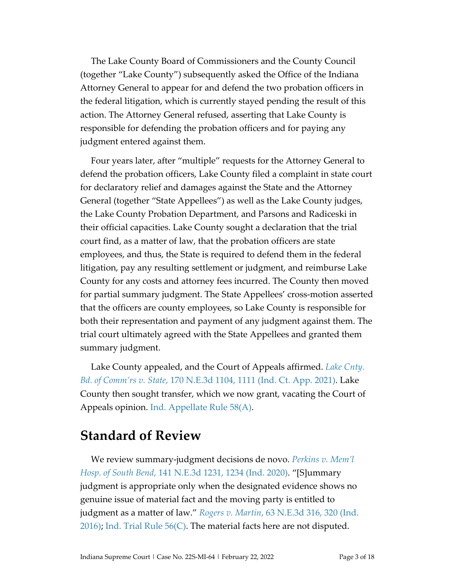The Lake County Board of Commissioners and the County Council (together "Lake County") subsequently asked the Office of the Indiana Attorney General to appear for and defend the two probation officers in the federal litigation, which is currently stayed pending the result of this action. The Attorney General refused, asserting that Lake County is responsible for defending the probation officers and for paying any judgment entered against them.

Four years later, after "multiple" requests for the Attorney General to defend the probation officers, Lake County filed a complaint in state court for declaratory relief and damages against the State and the Attorney General (together "State Appellees") as well as the Lake County judges, the Lake County Probation Department, and Parsons and Radiceski in their official capacities. Lake County sought a declaration that the trial court find, as a matter of law, that the probation officers are state employees, and thus, the State is required to defend them in the federal litigation, pay any resulting settlement or judgment, and reimburse Lake County for any costs and attorney fees incurred. The County then moved for partial summary judgment. The State Appellees' cross-motion asserted that the officers are county employees, so Lake County is responsible for both their representation and payment of any judgment against them. The trial court ultimately agreed with the State Appellees and granted them summary judgment.

Lake County appealed, and the Court of Appeals affirmed. *[Lake Cnty.](https://www.westlaw.com/Document/I6cd7cd90ad3b11eb915fdeac604a0531/View/FullText.html?transitionType=Default&contextData=(sc.Default)&VR=3.0&RS=da3.0&fragmentIdentifier=co_pp_sp_7902_1111) Bd. of Comm'rs v. State*[, 170 N.E.3d 1104, 1111 \(Ind. Ct. App. 2021\).](https://www.westlaw.com/Document/I6cd7cd90ad3b11eb915fdeac604a0531/View/FullText.html?transitionType=Default&contextData=(sc.Default)&VR=3.0&RS=da3.0&fragmentIdentifier=co_pp_sp_7902_1111) Lake County then sought transfer, which we now grant, vacating the Court of Appeals opinion. [Ind. Appellate Rule 58\(A\).](https://www.westlaw.com/Document/N2CFAA090B86211DBAEA4B60E7E39EF94/View/FullText.html?transitionType=Default&contextData=(sc.Default)&VR=3.0&RS=da3.0)

#### **Standard of Review**

We review summary-judgment decisions de novo. *[Perkins v. Mem'l](https://www.westlaw.com/Document/I482232d073bf11ea99df8ae889484d86/View/FullText.html?transitionType=Default&contextData=(sc.Default)&VR=3.0&RS=da3.0&fragmentIdentifier=co_pp_sp_7902_1234)  Hosp. of South Bend*[, 141 N.E.3d 1231, 1234 \(Ind. 2020\).](https://www.westlaw.com/Document/I482232d073bf11ea99df8ae889484d86/View/FullText.html?transitionType=Default&contextData=(sc.Default)&VR=3.0&RS=da3.0&fragmentIdentifier=co_pp_sp_7902_1234) "[S]ummary judgment is appropriate only when the designated evidence shows no genuine issue of material fact and the moving party is entitled to judgment as a matter of law." *Rogers v. Martin*[, 63 N.E.3d 316, 320 \(Ind.](https://www.westlaw.com/Document/Ib8a728609c8311e69822eed485bc7ca1/View/FullText.html?transitionType=Default&contextData=(sc.Default)&VR=3.0&RS=da3.0&fragmentIdentifier=co_pp_sp_7902_320)   $2016$ ); Ind. Trial Rule  $56(C)$ . The material facts here are not disputed.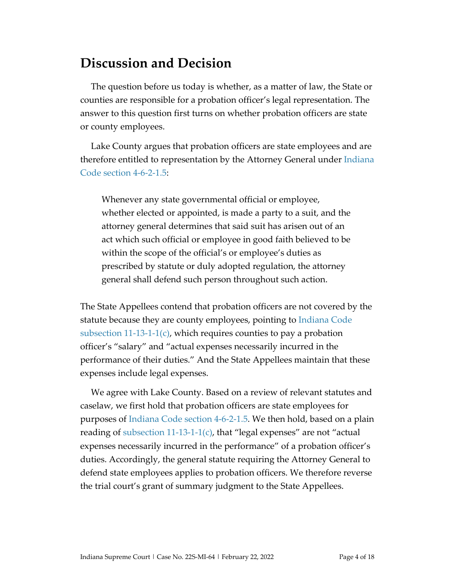## **Discussion and Decision**

The question before us today is whether, as a matter of law, the State or counties are responsible for a probation officer's legal representation. The answer to this question first turns on whether probation officers are state or county employees.

Lake County argues that probation officers are state employees and are therefore entitled to representation by the Attorney General under Indiana [Code section 4-6-2-1.5:](https://www.westlaw.com/Document/NF04FC120722011EAB5A993E82E59B805/View/FullText.html?transitionType=Default&contextData=(sc.Default)&VR=3.0&RS=da3.0)

Whenever any state governmental official or employee, whether elected or appointed, is made a party to a suit, and the attorney general determines that said suit has arisen out of an act which such official or employee in good faith believed to be within the scope of the official's or employee's duties as prescribed by statute or duly adopted regulation, the attorney general shall defend such person throughout such action.

The State Appellees contend that probation officers are not covered by the statute because they are county employees, pointing to [Indiana Code](https://1.next.westlaw.com/Document/N45E3727080C811DB8132CD13D2280436/View/FullText.html?originationContext=documenttoc&transitionType=CategoryPageItem&contextData=(sc.Default))  subsection  $11$ -13-1-1 $(c)$ , which requires counties to pay a probation officer's "salary" and "actual expenses necessarily incurred in the performance of their duties." And the State Appellees maintain that these expenses include legal expenses.

We agree with Lake County. Based on a review of relevant statutes and caselaw, we first hold that probation officers are state employees for purposes of [Indiana Code section 4-6-2-1.5.](https://www.westlaw.com/Document/NF04FC120722011EAB5A993E82E59B805/View/FullText.html?transitionType=Default&contextData=(sc.Default)&VR=3.0&RS=da3.0) We then hold, based on a plain reading of subsection  $11-13-1-1(c)$ , that "legal expenses" are not "actual expenses necessarily incurred in the performance" of a probation officer's duties. Accordingly, the general statute requiring the Attorney General to defend state employees applies to probation officers. We therefore reverse the trial court's grant of summary judgment to the State Appellees.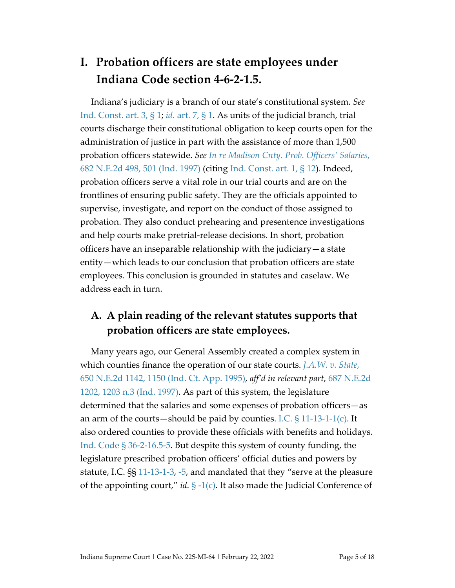## **I. Probation officers are state employees under Indiana Code section 4-6-2-1.5.**

Indiana's judiciary is a branch of our state's constitutional system. *See* [Ind. Const. art. 3, § 1;](https://www.westlaw.com/Document/N0EDA088080A911DB8132CD13D2280436/View/FullText.html?transitionType=Default&contextData=(sc.Default)&VR=3.0&RS=da3.0) *id.* [art. 7, § 1.](https://www.westlaw.com/Document/N51D8C27080A911DB8132CD13D2280436/View/FullText.html?transitionType=Default&contextData=(sc.Default)&VR=3.0&RS=da3.0) As units of the judicial branch, trial courts discharge their constitutional obligation to keep courts open for the administration of justice in part with the assistance of more than 1,500 probation officers statewide. *See [In re Madison Cnty. Prob. Officers' Salaries](https://www.westlaw.com/Document/I010b2e95d3bd11d983e7e9deff98dc6f/View/FullText.html?transitionType=Default&contextData=(sc.Default)&VR=3.0&RS=da3.0&fragmentIdentifier=co_pp_sp_578_501)*, [682 N.E.2d 498, 501 \(Ind. 1997\)](https://www.westlaw.com/Document/I010b2e95d3bd11d983e7e9deff98dc6f/View/FullText.html?transitionType=Default&contextData=(sc.Default)&VR=3.0&RS=da3.0&fragmentIdentifier=co_pp_sp_578_501) (citing [Ind. Const. art. 1,](https://www.westlaw.com/Document/N7567ABA080A111DB8132CD13D2280436/View/FullText.html?transitionType=Default&contextData=(sc.Default)&VR=3.0&RS=da3.0) § 12). Indeed, probation officers serve a vital role in our trial courts and are on the frontlines of ensuring public safety. They are the officials appointed to supervise, investigate, and report on the conduct of those assigned to probation. They also conduct prehearing and presentence investigations and help courts make pretrial-release decisions. In short, probation officers have an inseparable relationship with the judiciary—a state entity—which leads to our conclusion that probation officers are state employees. This conclusion is grounded in statutes and caselaw. We address each in turn.

#### **A. A plain reading of the relevant statutes supports that probation officers are state employees.**

Many years ago, our General Assembly created a complex system in which counties finance the operation of our state courts. *[J.A.W. v. State](https://www.westlaw.com/Document/I3cfc367ad3df11d99439b076ef9ec4de/View/FullText.html?transitionType=Default&contextData=(sc.Default)&VR=3.0&RS=da3.0&fragmentIdentifier=co_pp_sp_578_1150)*, [650 N.E.2d 1142, 1150 \(Ind. Ct. App. 1995\),](https://www.westlaw.com/Document/I3cfc367ad3df11d99439b076ef9ec4de/View/FullText.html?transitionType=Default&contextData=(sc.Default)&VR=3.0&RS=da3.0&fragmentIdentifier=co_pp_sp_578_1150) *aff'd in relevant part*, [687 N.E.2d](https://www.westlaw.com/Document/I2bd34d45d3c011d9a489ee624f1f6e1a/View/FullText.html?transitionType=Default&contextData=(sc.Default)&VR=3.0&RS=da3.0&fragmentIdentifier=co_pp_sp_578_1203+n.3)  [1202, 1203 n.3](https://www.westlaw.com/Document/I2bd34d45d3c011d9a489ee624f1f6e1a/View/FullText.html?transitionType=Default&contextData=(sc.Default)&VR=3.0&RS=da3.0&fragmentIdentifier=co_pp_sp_578_1203+n.3) (Ind. 1997). As part of this system, the legislature determined that the salaries and some expenses of probation officers—as an arm of the courts—should be paid by counties. I.C.  $\S$  11-13-1-1(c). It also ordered counties to provide these officials with benefits and holidays. [Ind. Code § 36-2-16.5-5.](https://www.westlaw.com/Document/NC5A9CDA0817811DB8132CD13D2280436/View/FullText.html?transitionType=Default&contextData=(sc.Default)&VR=3.0&RS=da3.0) But despite this system of county funding, the legislature prescribed probation officers' official duties and powers by statute, I.C. §§ [11-13-1-3,](https://1.next.westlaw.com/Document/N47CA5AE080C811DB8132CD13D2280436/View/FullText.html?navigationPath=Search%2Fv1%2Fresults%2Fnavigation%2Fi0ad62af00000017f1e250d779704e2d1%3Fppcid%3D0ca0c3aab6e94252be4749dd47f506e3%26Nav%3DMULTIPLECITATIONS%26fragmentIdentifier%3DN47CA5AE080C811DB8132CD13D2280436%26parentRank%3D0%26startIndex%3D1%26contextData%3D%2528sc.Search%2529%26transitionType%3DUniqueDocItem&listSource=Search&listPageSource=cd550acd5a9228304d0172582fed2bec&list=MULTIPLECITATIONS&sessionScopeId=728a173d73ad434df02d057fdc38b161d6760140aa7da20d24da7633ed01d1ba&ppcid=0ca0c3aab6e94252be4749dd47f506e3&originationContext=NonUniqueFindSelected&transitionType=UniqueDocItem&contextData=%28sc.Search%29) [-5,](https://1.next.westlaw.com/Document/N4A02227080C811DB8132CD13D2280436/View/FullText.html?originationContext=documenttoc&transitionType=CategoryPageItem&contextData=(sc.Default)) and mandated that they "serve at the pleasure of the appointing court," *id.* [§ -1\(c\).](https://1.next.westlaw.com/Document/N45E3727080C811DB8132CD13D2280436/View/FullText.html?transitionType=UniqueDocItem&contextData=(sc.Category)&userEnteredCitation=I.C.+11-13-1-1) It also made the Judicial Conference of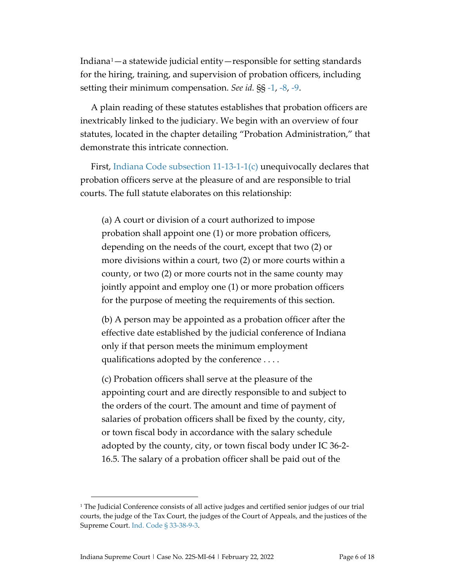Indiana[1](#page-5-0) —a statewide judicial entity—responsible for setting standards for the hiring, training, and supervision of probation officers, including setting their minimum compensation. *See id.* §§ [-1,](https://1.next.westlaw.com/Document/N45E3727080C811DB8132CD13D2280436/View/FullText.html?transitionType=UniqueDocItem&contextData=(sc.Category)&userEnteredCitation=I.C.+11-13-1-1) [-8,](https://1.next.westlaw.com/Document/N658C26205E4811E8B1B5CC4C5AFA2AA4/View/FullText.html?originationContext=documenttoc&transitionType=CategoryPageItem&contextData=(sc.Default)) [-9.](https://1.next.westlaw.com/Document/NB7EBB5D0CB7F11E3BAA7F0D342D41184/View/FullText.html?originationContext=documenttoc&transitionType=CategoryPageItem&contextData=(sc.Default))

A plain reading of these statutes establishes that probation officers are inextricably linked to the judiciary. We begin with an overview of four statutes, located in the chapter detailing "Probation Administration," that demonstrate this intricate connection.

First, [Indiana Code subsection](https://1.next.westlaw.com/Document/N45E3727080C811DB8132CD13D2280436/View/FullText.html?originationContext=documenttoc&transitionType=CategoryPageItem&contextData=(sc.Default))  $11-13-1-1(c)$  unequivocally declares that probation officers serve at the pleasure of and are responsible to trial courts. The full statute elaborates on this relationship:

(a) A court or division of a court authorized to impose probation shall appoint one (1) or more probation officers, depending on the needs of the court, except that two (2) or more divisions within a court, two (2) or more courts within a county, or two (2) or more courts not in the same county may jointly appoint and employ one (1) or more probation officers for the purpose of meeting the requirements of this section.

(b) A person may be appointed as a probation officer after the effective date established by the judicial conference of Indiana only if that person meets the minimum employment qualifications adopted by the conference . . . .

(c) Probation officers shall serve at the pleasure of the appointing court and are directly responsible to and subject to the orders of the court. The amount and time of payment of salaries of probation officers shall be fixed by the county, city, or town fiscal body in accordance with the salary schedule adopted by the county, city, or town fiscal body under IC 36-2- 16.5. The salary of a probation officer shall be paid out of the

<span id="page-5-0"></span><sup>&</sup>lt;sup>1</sup> The Judicial Conference consists of all active judges and certified senior judges of our trial courts, the judge of the Tax Court, the judges of the Court of Appeals, and the justices of the Supreme Court[. Ind. Code § 33-38-9-3.](https://www.westlaw.com/Document/NF8DB1BA05E4A11E8BB409BC97C948F7E/View/FullText.html?transitionType=Default&contextData=(sc.Default)&VR=3.0&RS=da3.0)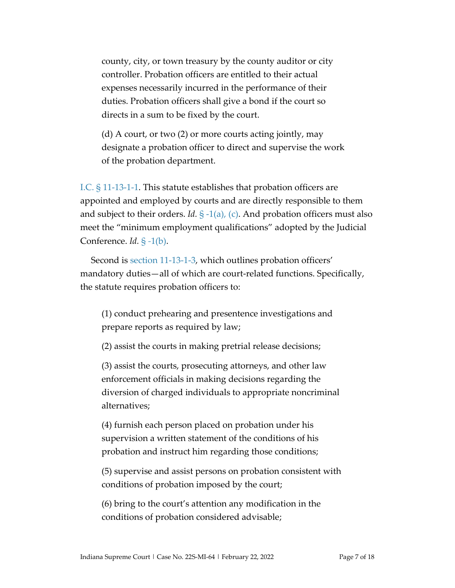county, city, or town treasury by the county auditor or city controller. Probation officers are entitled to their actual expenses necessarily incurred in the performance of their duties. Probation officers shall give a bond if the court so directs in a sum to be fixed by the court.

(d) A court, or two (2) or more courts acting jointly, may designate a probation officer to direct and supervise the work of the probation department.

[I.C. § 11-13-1-1.](https://www.westlaw.com/Document/N45E3727080C811DB8132CD13D2280436/View/FullText.html?transitionType=Default&contextData=(sc.Default)&VR=3.0&RS=da3.0) This statute establishes that probation officers are appointed and employed by courts and are directly responsible to them and subject to their orders. *Id.*  $\S -1(a)$ , (c). And probation officers must also meet the "minimum employment qualifications" adopted by the Judicial Conference. *Id.* § *-*[1\(b\).](https://1.next.westlaw.com/Document/N45E3727080C811DB8132CD13D2280436/View/FullText.html?transitionType=UniqueDocItem&contextData=(sc.Category)&userEnteredCitation=I.C.+11-13-1-1)

Second is [section 11-13-1-3,](https://1.next.westlaw.com/Document/N47CA5AE080C811DB8132CD13D2280436/View/FullText.html?navigationPath=Search%2Fv1%2Fresults%2Fnavigation%2Fi0ad62af00000017f1e250d779704e2d1%3Fppcid%3D0ca0c3aab6e94252be4749dd47f506e3%26Nav%3DMULTIPLECITATIONS%26fragmentIdentifier%3DN47CA5AE080C811DB8132CD13D2280436%26parentRank%3D0%26startIndex%3D1%26contextData%3D%2528sc.Search%2529%26transitionType%3DUniqueDocItem&listSource=Search&listPageSource=cd550acd5a9228304d0172582fed2bec&list=MULTIPLECITATIONS&sessionScopeId=728a173d73ad434df02d057fdc38b161d6760140aa7da20d24da7633ed01d1ba&ppcid=0ca0c3aab6e94252be4749dd47f506e3&originationContext=NonUniqueFindSelected&transitionType=UniqueDocItem&contextData=%28sc.Search%29) which outlines probation officers' mandatory duties—all of which are court-related functions. Specifically, the statute requires probation officers to:

(1) conduct prehearing and presentence investigations and prepare reports as required by law;

(2) assist the courts in making pretrial release decisions;

(3) assist the courts, prosecuting attorneys, and other law enforcement officials in making decisions regarding the diversion of charged individuals to appropriate noncriminal alternatives;

(4) furnish each person placed on probation under his supervision a written statement of the conditions of his probation and instruct him regarding those conditions;

(5) supervise and assist persons on probation consistent with conditions of probation imposed by the court;

(6) bring to the court's attention any modification in the conditions of probation considered advisable;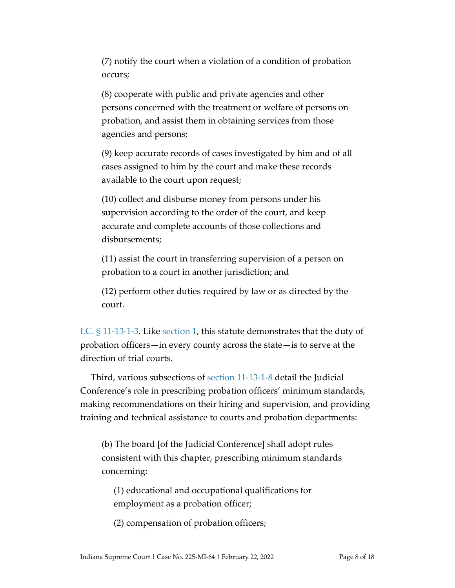(7) notify the court when a violation of a condition of probation occurs;

(8) cooperate with public and private agencies and other persons concerned with the treatment or welfare of persons on probation, and assist them in obtaining services from those agencies and persons;

(9) keep accurate records of cases investigated by him and of all cases assigned to him by the court and make these records available to the court upon request;

(10) collect and disburse money from persons under his supervision according to the order of the court, and keep accurate and complete accounts of those collections and disbursements;

(11) assist the court in transferring supervision of a person on probation to a court in another jurisdiction; and

(12) perform other duties required by law or as directed by the court.

I.C. [§ 11-13-1-3.](https://1.next.westlaw.com/Document/N47CA5AE080C811DB8132CD13D2280436/View/FullText.html?navigationPath=Search%2Fv1%2Fresults%2Fnavigation%2Fi0ad62af00000017f1e250d779704e2d1%3Fppcid%3D0ca0c3aab6e94252be4749dd47f506e3%26Nav%3DMULTIPLECITATIONS%26fragmentIdentifier%3DN47CA5AE080C811DB8132CD13D2280436%26parentRank%3D0%26startIndex%3D1%26contextData%3D%2528sc.Search%2529%26transitionType%3DUniqueDocItem&listSource=Search&listPageSource=cd550acd5a9228304d0172582fed2bec&list=MULTIPLECITATIONS&sessionScopeId=728a173d73ad434df02d057fdc38b161d6760140aa7da20d24da7633ed01d1ba&ppcid=0ca0c3aab6e94252be4749dd47f506e3&originationContext=NonUniqueFindSelected&transitionType=UniqueDocItem&contextData=%28sc.Search%29) Like [section 1,](https://1.next.westlaw.com/Document/N45E3727080C811DB8132CD13D2280436/View/FullText.html?transitionType=UniqueDocItem&contextData=(sc.Category)&userEnteredCitation=I.C.+11-13-1-1) this statute demonstrates that the duty of probation officers—in every county across the state—is to serve at the direction of trial courts.

Third, various subsections of [section 11-13-1-8](https://1.next.westlaw.com/Document/N658C26205E4811E8B1B5CC4C5AFA2AA4/View/FullText.html?originationContext=documenttoc&transitionType=CategoryPageItem&contextData=(sc.Default)) detail the Judicial Conference's role in prescribing probation officers' minimum standards, making recommendations on their hiring and supervision, and providing training and technical assistance to courts and probation departments:

(b) The board [of the Judicial Conference] shall adopt rules consistent with this chapter, prescribing minimum standards concerning:

(1) educational and occupational qualifications for employment as a probation officer;

(2) compensation of probation officers;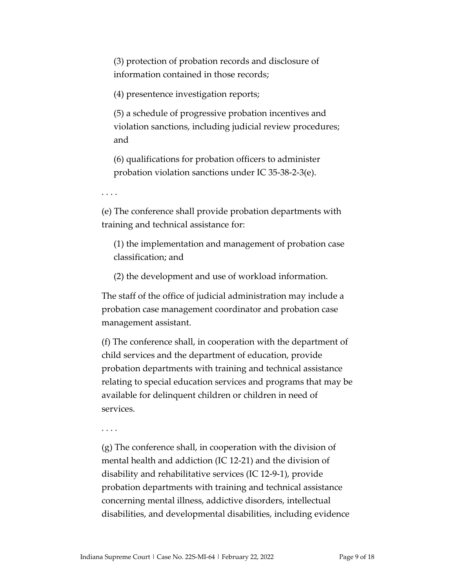(3) protection of probation records and disclosure of information contained in those records;

(4) presentence investigation reports;

(5) a schedule of progressive probation incentives and violation sanctions, including judicial review procedures; and

(6) qualifications for probation officers to administer probation violation sanctions under IC 35-38-2-3(e).

. . . .

(e) The conference shall provide probation departments with training and technical assistance for:

(1) the implementation and management of probation case classification; and

(2) the development and use of workload information.

The staff of the office of judicial administration may include a probation case management coordinator and probation case management assistant.

(f) The conference shall, in cooperation with the department of child services and the department of education, provide probation departments with training and technical assistance relating to special education services and programs that may be available for delinquent children or children in need of services.

. . . .

(g) The conference shall, in cooperation with the division of mental health and addiction (IC 12-21) and the division of disability and rehabilitative services (IC 12-9-1), provide probation departments with training and technical assistance concerning mental illness, addictive disorders, intellectual disabilities, and developmental disabilities, including evidence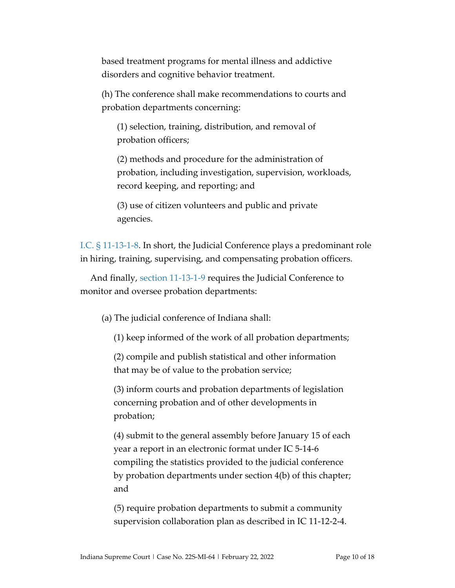based treatment programs for mental illness and addictive disorders and cognitive behavior treatment.

(h) The conference shall make recommendations to courts and probation departments concerning:

(1) selection, training, distribution, and removal of probation officers;

(2) methods and procedure for the administration of probation, including investigation, supervision, workloads, record keeping, and reporting; and

(3) use of citizen volunteers and public and private agencies.

I.C. [§ 11-13-1-8.](https://1.next.westlaw.com/Document/N658C26205E4811E8B1B5CC4C5AFA2AA4/View/FullText.html?originationContext=documenttoc&transitionType=CategoryPageItem&contextData=(sc.Default)) In short, the Judicial Conference plays a predominant role in hiring, training, supervising, and compensating probation officers.

And finally, [section 11-13-1-9](https://1.next.westlaw.com/Document/NB7EBB5D0CB7F11E3BAA7F0D342D41184/View/FullText.html?originationContext=documenttoc&transitionType=CategoryPageItem&contextData=(sc.Default)) requires the Judicial Conference to monitor and oversee probation departments:

(a) The judicial conference of Indiana shall:

(1) keep informed of the work of all probation departments;

(2) compile and publish statistical and other information that may be of value to the probation service;

(3) inform courts and probation departments of legislation concerning probation and of other developments in probation;

(4) submit to the general assembly before January 15 of each year a report in an electronic format under IC 5-14-6 compiling the statistics provided to the judicial conference by probation departments under section 4(b) of this chapter; and

(5) require probation departments to submit a community supervision collaboration plan as described in IC 11-12-2-4.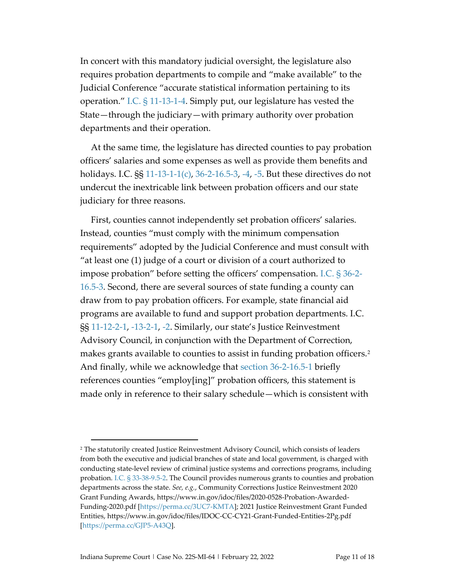In concert with this mandatory judicial oversight, the legislature also requires probation departments to compile and "make available" to the Judicial Conference "accurate statistical information pertaining to its operation." I.C. [§ 11-13-1-4.](https://1.next.westlaw.com/Document/N4987C25080C811DB8132CD13D2280436/View/FullText.html?originationContext=documenttoc&transitionType=CategoryPageItem&contextData=(sc.Default)) Simply put, our legislature has vested the State—through the judiciary—with primary authority over probation departments and their operation.

At the same time, the legislature has directed counties to pay probation officers' salaries and some expenses as well as provide them benefits and holidays. I.C. §§ [11-13-1-1\(c\),](https://1.next.westlaw.com/Document/N45E3727080C811DB8132CD13D2280436/View/FullText.html?transitionType=UniqueDocItem&contextData=(sc.Category)&userEnteredCitation=I.C.+11-13-1-1) [36-2-16.5-3,](https://1.next.westlaw.com/Document/NC54D2EB0817811DB8132CD13D2280436/View/FullText.html?transitionType=UniqueDocItem&contextData=(sc.Default)&userEnteredCitation=I.C.+36-2-16.5-3) [-4,](https://1.next.westlaw.com/Document/NC5743EB0817811DB8132CD13D2280436/View/FullText.html?originationContext=previousnextsection&contextData=(sc.UserEnteredCitation)&transitionType=StatuteNavigator&needToInjectTerms=False&ppcid=14e4d092dd354fad9e3e4daa5e2d60bd) [-5.](https://1.next.westlaw.com/Document/NC5A9CDA0817811DB8132CD13D2280436/View/FullText.html?originationContext=previousnextsection&contextData=(sc.Document)&transitionType=StatuteNavigator&needToInjectTerms=False&ppcid=777e52c280ee4b1b884319c4281ef3d2) But these directives do not undercut the inextricable link between probation officers and our state judiciary for three reasons.

First, counties cannot independently set probation officers' salaries. Instead, counties "must comply with the minimum compensation requirements" adopted by the Judicial Conference and must consult with "at least one (1) judge of a court or division of a court authorized to impose probation" before setting the officers' compensation. [I.C. § 36-2-](https://1.next.westlaw.com/Document/NC54D2EB0817811DB8132CD13D2280436/View/FullText.html?originationContext=previousnextsection&contextData=(sc.Document)&transitionType=StatuteNavigator&needToInjectTerms=False&ppcid=777e52c280ee4b1b884319c4281ef3d2) [16.5-3.](https://1.next.westlaw.com/Document/NC54D2EB0817811DB8132CD13D2280436/View/FullText.html?originationContext=previousnextsection&contextData=(sc.Document)&transitionType=StatuteNavigator&needToInjectTerms=False&ppcid=777e52c280ee4b1b884319c4281ef3d2) Second, there are several sources of state funding a county can draw from to pay probation officers. For example, state financial aid programs are available to fund and support probation departments. I.C. §§ [11-12-2-1,](https://1.next.westlaw.com/Document/N21CD43E02BDC11E8A6BCE48BC32096F8/View/FullText.html?transitionType=UniqueDocItem&contextData=(sc.UserEnteredCitation)&userEnteredCitation=I.C.+11-12-2-1) [-13-2-1,](https://1.next.westlaw.com/Document/N33731830D4CA11E3AA678C32BDB62EE3/View/FullText.html?transitionType=UniqueDocItem&contextData=(sc.UserEnteredCitation)&userEnteredCitation=I.C.+11-13-2-1) [-2.](https://1.next.westlaw.com/Document/N3482B370D4CA11E3929C84E0171B22D2/View/FullText.html?originationContext=previousnextsection&contextData=(sc.UserEnteredCitation)&transitionType=StatuteNavigator&needToInjectTerms=False&ppcid=92b88fd262e44149a8dc0c5546f285be) Similarly, our state's Justice Reinvestment Advisory Council, in conjunction with the Department of Correction, makes grants available to counties to assist in funding probation officers.<sup>[2](#page-10-0)</sup> And finally, while we acknowledge that [section 36-2-16.5-1](https://1.next.westlaw.com/Document/NC51A85F0817811DB8132CD13D2280436/View/FullText.html?transitionType=UniqueDocItem&contextData=(sc.Document)&userEnteredCitation=I.C.+36-2-16.5-1) briefly references counties "employ[ing]" probation officers, this statement is made only in reference to their salary schedule—which is consistent with

<span id="page-10-0"></span><sup>2</sup> The statutorily created Justice Reinvestment Advisory Council, which consists of leaders from both the executive and judicial branches of state and local government, is charged with conducting state-level review of criminal justice systems and corrections programs, including probation. I.C. [§ 33-38-9.5-2.](https://1.next.westlaw.com/Document/NAD85DE20D24511EBB976D40C53E8D6D0/View/FullText.html?transitionType=UniqueDocItem&contextData=(sc.UserEnteredCitation)&userEnteredCitation=I.C.+33-38-9.5-2) The Council provides numerous grants to counties and probation departments across the state. *See, e.g.*, Community Corrections Justice Reinvestment 2020 Grant Funding Awards, https://www.in.gov/idoc/files/2020-0528-Probation-Awarded-Funding-2020.pdf [\[https://perma.cc/3UC7-KMTA\]](https://perma.cc/3UC7-KMTA); 2021 Justice Reinvestment Grant Funded Entities, https://www.in.gov/idoc/files/IDOC-CC-CY21-Grant-Funded-Entities-2Pg.pdf [\[https://perma.cc/GJP5-A43Q\]](https://perma.cc/GJP5-A43Q).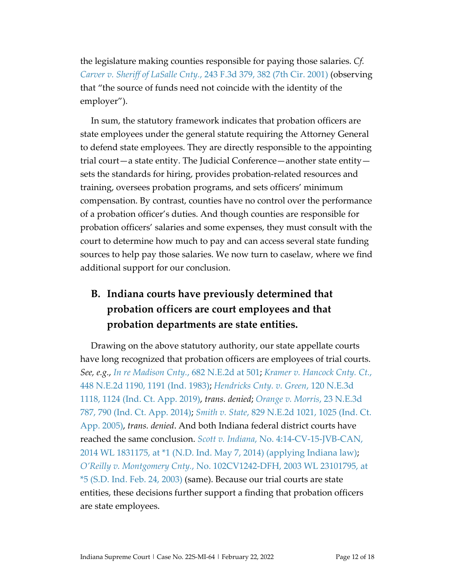the legislature making counties responsible for paying those salaries. *Cf. Carver v. Sheriff of LaSalle Cnty.*[, 243 F.3d 379, 382 \(7th Cir. 2001\)](https://www.westlaw.com/Document/Ie833a11279a611d99c4dbb2f0352441d/View/FullText.html?transitionType=Default&contextData=(sc.Default)&VR=3.0&RS=da3.0&fragmentIdentifier=co_pp_sp_506_382) (observing that "the source of funds need not coincide with the identity of the employer").

In sum, the statutory framework indicates that probation officers are state employees under the general statute requiring the Attorney General to defend state employees. They are directly responsible to the appointing trial court—a state entity. The Judicial Conference—another state entity sets the standards for hiring, provides probation-related resources and training, oversees probation programs, and sets officers' minimum compensation. By contrast, counties have no control over the performance of a probation officer's duties. And though counties are responsible for probation officers' salaries and some expenses, they must consult with the court to determine how much to pay and can access several state funding sources to help pay those salaries. We now turn to caselaw, where we find additional support for our conclusion.

## **B. Indiana courts have previously determined that probation officers are court employees and that probation departments are state entities.**

Drawing on the above statutory authority, our state appellate courts have long recognized that probation officers are employees of trial courts. *See, e.g.*, *[In re Madison Cnty.](https://www.westlaw.com/Document/I010b2e95d3bd11d983e7e9deff98dc6f/View/FullText.html?transitionType=Default&contextData=(sc.Default)&VR=3.0&RS=da3.0&fragmentIdentifier=co_pp_sp_578_501)*, 682 N.E.2d at 501; *[Kramer v. Hancock Cnty. Ct.](https://www.westlaw.com/Document/I68793851d34111d9bf60c1d57ebc853e/View/FullText.html?transitionType=Default&contextData=(sc.Default)&VR=3.0&RS=da3.0&fragmentIdentifier=co_pp_sp_578_1191)*, [448 N.E.2d 1190, 1191 \(Ind. 1983\);](https://www.westlaw.com/Document/I68793851d34111d9bf60c1d57ebc853e/View/FullText.html?transitionType=Default&contextData=(sc.Default)&VR=3.0&RS=da3.0&fragmentIdentifier=co_pp_sp_578_1191) *[Hendricks Cnty. v. Green](https://www.westlaw.com/Document/I64ec8f304a7311e9bb0cd983136a9739/View/FullText.html?transitionType=Default&contextData=(sc.Default)&VR=3.0&RS=da3.0&fragmentIdentifier=co_pp_sp_7902_1124)*, 120 N.E.3d [1118, 1124 \(Ind. Ct. App. 2019\),](https://www.westlaw.com/Document/I64ec8f304a7311e9bb0cd983136a9739/View/FullText.html?transitionType=Default&contextData=(sc.Default)&VR=3.0&RS=da3.0&fragmentIdentifier=co_pp_sp_7902_1124) *trans. denied*; *[Orange v. Morris](https://www.westlaw.com/Document/Ibc2866a58faf11e4b4bafa136b480ad2/View/FullText.html?transitionType=Default&contextData=(sc.Default)&VR=3.0&RS=da3.0&fragmentIdentifier=co_pp_sp_7902_790)*, 23 N.E.3d [787, 790 \(Ind. Ct. App. 2014\);](https://www.westlaw.com/Document/Ibc2866a58faf11e4b4bafa136b480ad2/View/FullText.html?transitionType=Default&contextData=(sc.Default)&VR=3.0&RS=da3.0&fragmentIdentifier=co_pp_sp_7902_790) *Smith v. State*[, 829 N.E.2d 1021, 1025 \(Ind. Ct.](https://www.westlaw.com/Document/Iba509ebde80011d983e7e9deff98dc6f/View/FullText.html?transitionType=Default&contextData=(sc.Default)&VR=3.0&RS=da3.0&fragmentIdentifier=co_pp_sp_578_1025)  [App. 2005\),](https://www.westlaw.com/Document/Iba509ebde80011d983e7e9deff98dc6f/View/FullText.html?transitionType=Default&contextData=(sc.Default)&VR=3.0&RS=da3.0&fragmentIdentifier=co_pp_sp_578_1025) *trans. denied*. And both Indiana federal district courts have reached the same conclusion. *Scott v. Indiana*[, No. 4:14-CV-15-JVB-CAN,](https://www.westlaw.com/Document/Ifc221c06d74711e39488c8f438320c70/View/FullText.html?transitionType=Default&contextData=(sc.Default)&VR=3.0&RS=da3.0&fragmentIdentifier=co_pp_sp_999_1)  2014 WL 1831175, [at \\*1 \(N.D. Ind. May 7, 2014\) \(applying Indiana law\);](https://www.westlaw.com/Document/Ifc221c06d74711e39488c8f438320c70/View/FullText.html?transitionType=Default&contextData=(sc.Default)&VR=3.0&RS=da3.0&fragmentIdentifier=co_pp_sp_999_1) *O'Reilly v. Montgomery Cnty.*[, No. 102CV1242-DFH, 2003 WL 23101795,](https://www.westlaw.com/Document/Ief450fa3541411d9b17ee4cdc604a702/View/FullText.html?transitionType=Default&contextData=(sc.Default)&VR=3.0&RS=da3.0&fragmentIdentifier=co_pp_sp_999_5) at [\\*5 \(S.D. Ind. Feb. 24, 2003\)](https://www.westlaw.com/Document/Ief450fa3541411d9b17ee4cdc604a702/View/FullText.html?transitionType=Default&contextData=(sc.Default)&VR=3.0&RS=da3.0&fragmentIdentifier=co_pp_sp_999_5) (same). Because our trial courts are state entities, these decisions further support a finding that probation officers are state employees.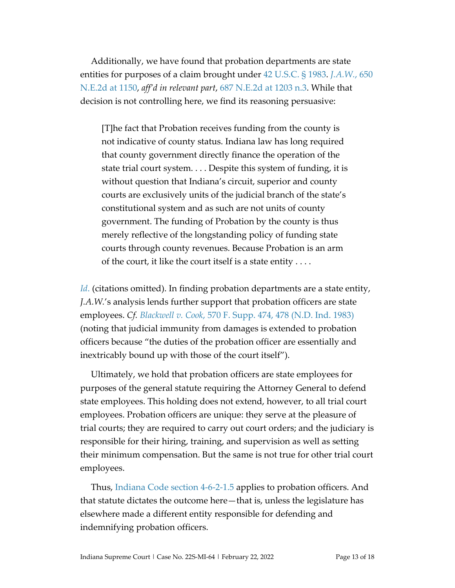Additionally, we have found that probation departments are state entities for purposes of a claim brought under [42 U.S.C.](https://www.westlaw.com/Document/NDFE80F60AFF711D8803AE0632FEDDFBF/View/FullText.html?transitionType=Default&contextData=(sc.Default)&VR=3.0&RS=da3.0) § 1983. *[J.A.W.](https://www.westlaw.com/Document/I3cfc367ad3df11d99439b076ef9ec4de/View/FullText.html?transitionType=Default&contextData=(sc.Default)&VR=3.0&RS=da3.0&fragmentIdentifier=co_pp_sp_578_1150)*, 650 [N.E.2d at 1150,](https://www.westlaw.com/Document/I3cfc367ad3df11d99439b076ef9ec4de/View/FullText.html?transitionType=Default&contextData=(sc.Default)&VR=3.0&RS=da3.0&fragmentIdentifier=co_pp_sp_578_1150) *aff'd in relevant part*, [687 N.E.2d at](https://www.westlaw.com/Document/I2bd34d45d3c011d9a489ee624f1f6e1a/View/FullText.html?transitionType=Default&contextData=(sc.Default)&VR=3.0&RS=da3.0&fragmentIdentifier=co_pp_sp_578_at+1203) 1203 n.3. While that decision is not controlling here, we find its reasoning persuasive:

[T]he fact that Probation receives funding from the county is not indicative of county status. Indiana law has long required that county government directly finance the operation of the state trial court system. . . . Despite this system of funding, it is without question that Indiana's circuit, superior and county courts are exclusively units of the judicial branch of the state's constitutional system and as such are not units of county government. The funding of Probation by the county is thus merely reflective of the longstanding policy of funding state courts through county revenues. Because Probation is an arm of the court, it like the court itself is a state entity . . . .

*[Id](https://www.westlaw.com/Document/I3cfc367ad3df11d99439b076ef9ec4de/View/FullText.html?transitionType=Default&contextData=(sc.Default)&VR=3.0&RS=da3.0).* (citations omitted). In finding probation departments are a state entity, *J.A.W.*'s analysis lends further support that probation officers are state employees. *Cf. Blackwell v. Cook*[, 570 F. Supp. 474, 478 \(N.D. Ind. 1983\)](https://www.westlaw.com/Document/I5e379f0c556d11d9a99c85a9e6023ffa/View/FullText.html?transitionType=Default&contextData=(sc.Default)&VR=3.0&RS=da3.0&fragmentIdentifier=co_pp_sp_345_478) (noting that judicial immunity from damages is extended to probation officers because "the duties of the probation officer are essentially and inextricably bound up with those of the court itself").

Ultimately, we hold that probation officers are state employees for purposes of the general statute requiring the Attorney General to defend state employees. This holding does not extend, however, to all trial court employees. Probation officers are unique: they serve at the pleasure of trial courts; they are required to carry out court orders; and the judiciary is responsible for their hiring, training, and supervision as well as setting their minimum compensation. But the same is not true for other trial court employees.

Thus, [Indiana Code section 4-6-2-1.5](https://www.westlaw.com/Document/NF04FC120722011EAB5A993E82E59B805/View/FullText.html?transitionType=Default&contextData=(sc.Default)&VR=3.0&RS=da3.0) applies to probation officers. And that statute dictates the outcome here—that is, unless the legislature has elsewhere made a different entity responsible for defending and indemnifying probation officers.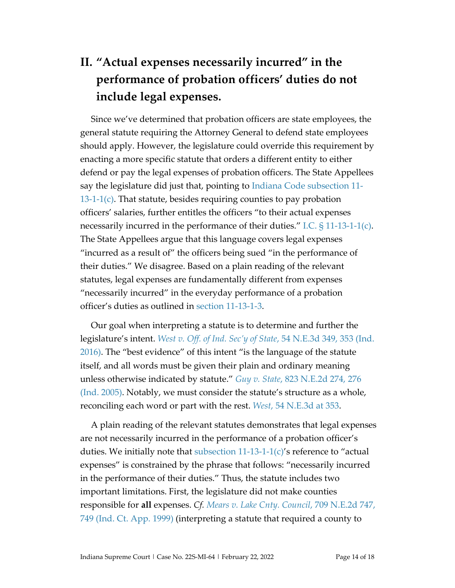# **II. "Actual expenses necessarily incurred" in the performance of probation officers' duties do not include legal expenses.**

Since we've determined that probation officers are state employees, the general statute requiring the Attorney General to defend state employees should apply. However, the legislature could override this requirement by enacting a more specific statute that orders a different entity to either defend or pay the legal expenses of probation officers. The State Appellees say the legislature did just that, pointing to [Indiana Code subsection 11-](https://1.next.westlaw.com/Document/N45E3727080C811DB8132CD13D2280436/View/FullText.html?originationContext=documenttoc&transitionType=CategoryPageItem&contextData=(sc.Default)) [13-1-1\(c\).](https://1.next.westlaw.com/Document/N45E3727080C811DB8132CD13D2280436/View/FullText.html?originationContext=documenttoc&transitionType=CategoryPageItem&contextData=(sc.Default)) That statute, besides requiring counties to pay probation officers' salaries, further entitles the officers "to their actual expenses necessarily incurred in the performance of their duties." [I.C. § 11-13-1-1\(c\).](https://1.next.westlaw.com/Document/N45E3727080C811DB8132CD13D2280436/View/FullText.html?originationContext=documenttoc&transitionType=CategoryPageItem&contextData=(sc.Default)) The State Appellees argue that this language covers legal expenses "incurred as a result of" the officers being sued "in the performance of their duties." We disagree. Based on a plain reading of the relevant statutes, legal expenses are fundamentally different from expenses "necessarily incurred" in the everyday performance of a probation officer's duties as outlined in [section 11-13-1-3.](https://1.next.westlaw.com/Document/N47CA5AE080C811DB8132CD13D2280436/View/FullText.html?navigationPath=Search%2Fv1%2Fresults%2Fnavigation%2Fi0ad62af00000017f1e250d779704e2d1%3Fppcid%3D0ca0c3aab6e94252be4749dd47f506e3%26Nav%3DMULTIPLECITATIONS%26fragmentIdentifier%3DN47CA5AE080C811DB8132CD13D2280436%26parentRank%3D0%26startIndex%3D1%26contextData%3D%2528sc.Search%2529%26transitionType%3DUniqueDocItem&listSource=Search&listPageSource=cd550acd5a9228304d0172582fed2bec&list=MULTIPLECITATIONS&sessionScopeId=728a173d73ad434df02d057fdc38b161d6760140aa7da20d24da7633ed01d1ba&ppcid=0ca0c3aab6e94252be4749dd47f506e3&originationContext=NonUniqueFindSelected&transitionType=UniqueDocItem&contextData=%28sc.Search%29)

Our goal when interpreting a statute is to determine and further the legislature's intent. *West v. Off. of Ind. Sec'y of State*, 54 [N.E.3d 349, 353 \(Ind.](https://www.westlaw.com/Document/I85fd6bf1294c11e6b4bafa136b480ad2/View/FullText.html?transitionType=Default&contextData=(sc.Default)&VR=3.0&RS=da3.0&fragmentIdentifier=co_pp_sp_7902_353)  [2016\).](https://www.westlaw.com/Document/I85fd6bf1294c11e6b4bafa136b480ad2/View/FullText.html?transitionType=Default&contextData=(sc.Default)&VR=3.0&RS=da3.0&fragmentIdentifier=co_pp_sp_7902_353) The "best evidence" of this intent "is the language of the statute itself, and all words must be given their plain and ordinary meaning unless otherwise indicated by statute." *Guy v. State*[, 823 N.E.2d 274,](https://www.westlaw.com/Document/I8660f7e1d45911d9bf60c1d57ebc853e/View/FullText.html?transitionType=Default&contextData=(sc.Default)&VR=3.0&RS=da3.0&fragmentIdentifier=co_pp_sp_578_276) 276 [\(Ind. 2005\).](https://www.westlaw.com/Document/I8660f7e1d45911d9bf60c1d57ebc853e/View/FullText.html?transitionType=Default&contextData=(sc.Default)&VR=3.0&RS=da3.0&fragmentIdentifier=co_pp_sp_578_276) Notably, we must consider the statute's structure as a whole, reconciling each word or part with the rest. *West*[, 54 N.E.3d at 353.](https://www.westlaw.com/Document/I85fd6bf1294c11e6b4bafa136b480ad2/View/FullText.html?transitionType=Default&contextData=(sc.Default)&VR=3.0&RS=da3.0&fragmentIdentifier=co_pp_sp_7902_353)

A plain reading of the relevant statutes demonstrates that legal expenses are not necessarily incurred in the performance of a probation officer's duties. We initially note that subsection  $11-13-1-1(c)$ 's reference to "actual expenses" is constrained by the phrase that follows: "necessarily incurred in the performance of their duties." Thus, the statute includes two important limitations. First, the legislature did not make counties responsible for **all** expenses. *Cf. [Mears v. Lake Cnty. Council](https://www.westlaw.com/Document/I03d45829d3a611d98ac8f235252e36df/View/FullText.html?transitionType=Default&contextData=(sc.Default)&VR=3.0&RS=da3.0&fragmentIdentifier=co_pp_sp_578_749)*, 709 N.E.2d 747, [749 \(Ind. Ct. App. 1999\)](https://www.westlaw.com/Document/I03d45829d3a611d98ac8f235252e36df/View/FullText.html?transitionType=Default&contextData=(sc.Default)&VR=3.0&RS=da3.0&fragmentIdentifier=co_pp_sp_578_749) (interpreting a statute that required a county to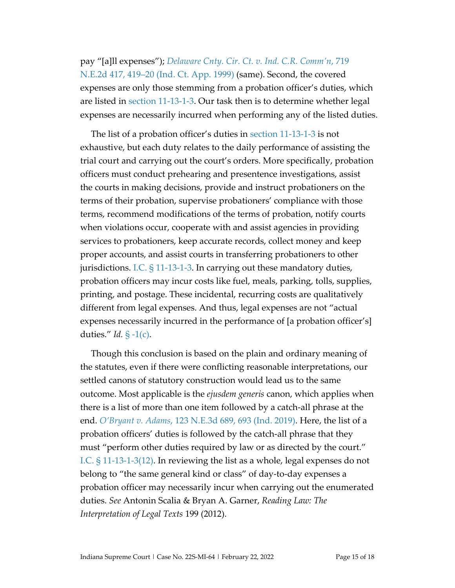pay "[a]ll expenses"); *[Delaware Cnty. Cir. Ct. v. Ind.](https://www.westlaw.com/Document/I9bfad2d3d45711d98ac8f235252e36df/View/FullText.html?transitionType=Default&contextData=(sc.Default)&VR=3.0&RS=da3.0&fragmentIdentifier=co_pp_sp_578_419) C.R. Comm'n*, 719 N.E.2d 417, 419–20 [\(Ind. Ct. App. 1999\)](https://www.westlaw.com/Document/I9bfad2d3d45711d98ac8f235252e36df/View/FullText.html?transitionType=Default&contextData=(sc.Default)&VR=3.0&RS=da3.0&fragmentIdentifier=co_pp_sp_578_419) (same). Second, the covered expenses are only those stemming from a probation officer's duties, which are listed in [section 11-13-1-3.](https://1.next.westlaw.com/Document/N47CA5AE080C811DB8132CD13D2280436/View/FullText.html?navigationPath=Search%2Fv1%2Fresults%2Fnavigation%2Fi0ad62af00000017f1e250d779704e2d1%3Fppcid%3D0ca0c3aab6e94252be4749dd47f506e3%26Nav%3DMULTIPLECITATIONS%26fragmentIdentifier%3DN47CA5AE080C811DB8132CD13D2280436%26parentRank%3D0%26startIndex%3D1%26contextData%3D%2528sc.Search%2529%26transitionType%3DUniqueDocItem&listSource=Search&listPageSource=cd550acd5a9228304d0172582fed2bec&list=MULTIPLECITATIONS&sessionScopeId=728a173d73ad434df02d057fdc38b161d6760140aa7da20d24da7633ed01d1ba&ppcid=0ca0c3aab6e94252be4749dd47f506e3&originationContext=NonUniqueFindSelected&transitionType=UniqueDocItem&contextData=%28sc.Search%29) Our task then is to determine whether legal expenses are necessarily incurred when performing any of the listed duties.

The list of a probation officer's duties in [section 11-13-1-3](https://1.next.westlaw.com/Document/N47CA5AE080C811DB8132CD13D2280436/View/FullText.html?navigationPath=Search%2Fv1%2Fresults%2Fnavigation%2Fi0ad62af00000017f1e250d779704e2d1%3Fppcid%3D0ca0c3aab6e94252be4749dd47f506e3%26Nav%3DMULTIPLECITATIONS%26fragmentIdentifier%3DN47CA5AE080C811DB8132CD13D2280436%26parentRank%3D0%26startIndex%3D1%26contextData%3D%2528sc.Search%2529%26transitionType%3DUniqueDocItem&listSource=Search&listPageSource=cd550acd5a9228304d0172582fed2bec&list=MULTIPLECITATIONS&sessionScopeId=728a173d73ad434df02d057fdc38b161d6760140aa7da20d24da7633ed01d1ba&ppcid=0ca0c3aab6e94252be4749dd47f506e3&originationContext=NonUniqueFindSelected&transitionType=UniqueDocItem&contextData=%28sc.Search%29) is not exhaustive, but each duty relates to the daily performance of assisting the trial court and carrying out the court's orders. More specifically, probation officers must conduct prehearing and presentence investigations, assist the courts in making decisions, provide and instruct probationers on the terms of their probation, supervise probationers' compliance with those terms, recommend modifications of the terms of probation, notify courts when violations occur, cooperate with and assist agencies in providing services to probationers, keep accurate records, collect money and keep proper accounts, and assist courts in transferring probationers to other jurisdictions. [I.C. § 11-13-1-3.](https://1.next.westlaw.com/Document/N47CA5AE080C811DB8132CD13D2280436/View/FullText.html?navigationPath=Search%2Fv1%2Fresults%2Fnavigation%2Fi0ad62af00000017f1e250d779704e2d1%3Fppcid%3D0ca0c3aab6e94252be4749dd47f506e3%26Nav%3DMULTIPLECITATIONS%26fragmentIdentifier%3DN47CA5AE080C811DB8132CD13D2280436%26parentRank%3D0%26startIndex%3D1%26contextData%3D%2528sc.Search%2529%26transitionType%3DUniqueDocItem&listSource=Search&listPageSource=cd550acd5a9228304d0172582fed2bec&list=MULTIPLECITATIONS&sessionScopeId=728a173d73ad434df02d057fdc38b161d6760140aa7da20d24da7633ed01d1ba&ppcid=0ca0c3aab6e94252be4749dd47f506e3&originationContext=NonUniqueFindSelected&transitionType=UniqueDocItem&contextData=%28sc.Search%29) In carrying out these mandatory duties, probation officers may incur costs like fuel, meals, parking, tolls, supplies, printing, and postage. These incidental, recurring costs are qualitatively different from legal expenses. And thus, legal expenses are not "actual expenses necessarily incurred in the performance of [a probation officer's] duties." *Id.* [§ -1\(c\).](https://1.next.westlaw.com/Document/N45E3727080C811DB8132CD13D2280436/View/FullText.html?transitionType=UniqueDocItem&contextData=(sc.Category)&userEnteredCitation=I.C.+11-13-1-1)

Though this conclusion is based on the plain and ordinary meaning of the statutes, even if there were conflicting reasonable interpretations, our settled canons of statutory construction would lead us to the same outcome. Most applicable is the *ejusdem generis* canon, which applies when there is a list of more than one item followed by a catch-all phrase at the end. *[O'Bryant v. Adams](https://www.westlaw.com/Document/Ic055dfa0871f11e9ba33b03ae9101fb2/View/FullText.html?transitionType=Default&contextData=(sc.Default)&VR=3.0&RS=da3.0&fragmentIdentifier=co_pp_sp_7902_693)*, 123 N.E.3d 689, 693 (Ind. 2019). Here, the list of a probation officers' duties is followed by the catch-all phrase that they must "perform other duties required by law or as directed by the court." [I.C. § 11-13-1-3\(12\).](https://1.next.westlaw.com/Document/N47CA5AE080C811DB8132CD13D2280436/View/FullText.html?navigationPath=Search%2Fv1%2Fresults%2Fnavigation%2Fi0ad62af00000017f1e250d779704e2d1%3Fppcid%3D0ca0c3aab6e94252be4749dd47f506e3%26Nav%3DMULTIPLECITATIONS%26fragmentIdentifier%3DN47CA5AE080C811DB8132CD13D2280436%26parentRank%3D0%26startIndex%3D1%26contextData%3D%2528sc.Search%2529%26transitionType%3DUniqueDocItem&listSource=Search&listPageSource=cd550acd5a9228304d0172582fed2bec&list=MULTIPLECITATIONS&sessionScopeId=728a173d73ad434df02d057fdc38b161d6760140aa7da20d24da7633ed01d1ba&ppcid=0ca0c3aab6e94252be4749dd47f506e3&originationContext=NonUniqueFindSelected&transitionType=UniqueDocItem&contextData=%28sc.Search%29) In reviewing the list as a whole, legal expenses do not belong to "the same general kind or class" of day-to-day expenses a probation officer may necessarily incur when carrying out the enumerated duties. *See* Antonin Scalia & Bryan A. Garner, *Reading Law: The Interpretation of Legal Texts* 199 (2012).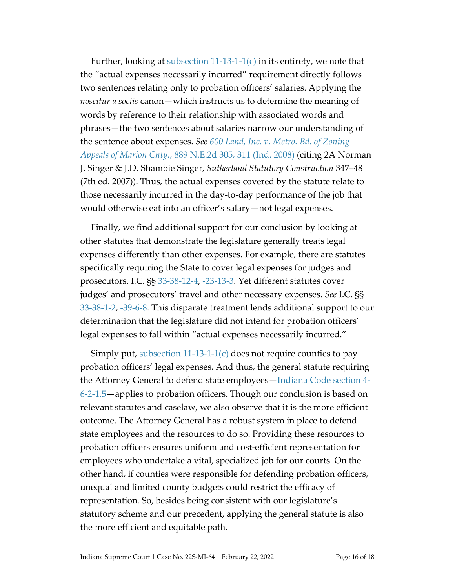Further, looking at subsection  $11-13-1-1(c)$  in its entirety, we note that the "actual expenses necessarily incurred" requirement directly follows two sentences relating only to probation officers' salaries. Applying the *noscitur a sociis* canon—which instructs us to determine the meaning of words by reference to their relationship with associated words and phrases—the two sentences about salaries narrow our understanding of the sentence about expenses. *See [600 Land, Inc. v. Metro.](https://www.westlaw.com/Document/I2d116d76479c11ddbc7bf97f340af743/View/FullText.html?transitionType=Default&contextData=(sc.Default)&VR=3.0&RS=da3.0&fragmentIdentifier=co_pp_sp_578_311) Bd. of Zoning [Appeals of Marion Cnty.](https://www.westlaw.com/Document/I2d116d76479c11ddbc7bf97f340af743/View/FullText.html?transitionType=Default&contextData=(sc.Default)&VR=3.0&RS=da3.0&fragmentIdentifier=co_pp_sp_578_311)*, 889 N.E.2d 305, 311 (Ind. 2008) (citing 2A Norman J. Singer & J.D. Shambie Singer, *Sutherland Statutory Construction* 347–48 (7th ed. 2007)). Thus, the actual expenses covered by the statute relate to those necessarily incurred in the day-to-day performance of the job that would otherwise eat into an officer's salary—not legal expenses.

Finally, we find additional support for our conclusion by looking at other statutes that demonstrate the legislature generally treats legal expenses differently than other expenses. For example, there are statutes specifically requiring the State to cover legal expenses for judges and prosecutors. I.C. §§ [33-38-12-4,](https://1.next.westlaw.com/Document/NFB699A00816A11DB8132CD13D2280436/View/FullText.html?transitionType=UniqueDocItem&contextData=(sc.UserEnteredCitation)&userEnteredCitation=I.C.+33-38-12-4) [-23-13-3.](https://1.next.westlaw.com/Document/N565E0A2063C911E8BD19F0BA239E91E8/View/FullText.html?transitionType=UniqueDocItem&contextData=(sc.UserEnteredCitation)&userEnteredCitation=I.C.+33-23-13-3) Yet different statutes cover judges' and prosecutors' travel and other necessary expenses. *See* I.C. §§ [33-38-1-2,](https://1.next.westlaw.com/Document/NF9B8CA60972B11E099B2FD105CCE7444/View/FullText.html?transitionType=UniqueDocItem&contextData=(sc.UserEnteredCitation)&userEnteredCitation=I.C.+33-38-1-2) [-39-6-8.](https://1.next.westlaw.com/Document/N17190100816B11DB8132CD13D2280436/View/FullText.html?transitionType=UniqueDocItem&contextData=(sc.UserEnteredCitation)&userEnteredCitation=I.C.+33-39-6-8) This disparate treatment lends additional support to our determination that the legislature did not intend for probation officers' legal expenses to fall within "actual expenses necessarily incurred."

Simply put, subsection  $11-13-1-1(c)$  does not require counties to pay probation officers' legal expenses. And thus, the general statute requiring the Attorney General to defend state employees[—Indiana Code section 4-](https://www.westlaw.com/Document/NF04FC120722011EAB5A993E82E59B805/View/FullText.html?transitionType=Default&contextData=(sc.Default)&VR=3.0&RS=da3.0) [6-2-1.5—](https://www.westlaw.com/Document/NF04FC120722011EAB5A993E82E59B805/View/FullText.html?transitionType=Default&contextData=(sc.Default)&VR=3.0&RS=da3.0)applies to probation officers. Though our conclusion is based on relevant statutes and caselaw, we also observe that it is the more efficient outcome. The Attorney General has a robust system in place to defend state employees and the resources to do so. Providing these resources to probation officers ensures uniform and cost-efficient representation for employees who undertake a vital, specialized job for our courts. On the other hand, if counties were responsible for defending probation officers, unequal and limited county budgets could restrict the efficacy of representation. So, besides being consistent with our legislature's statutory scheme and our precedent, applying the general statute is also the more efficient and equitable path.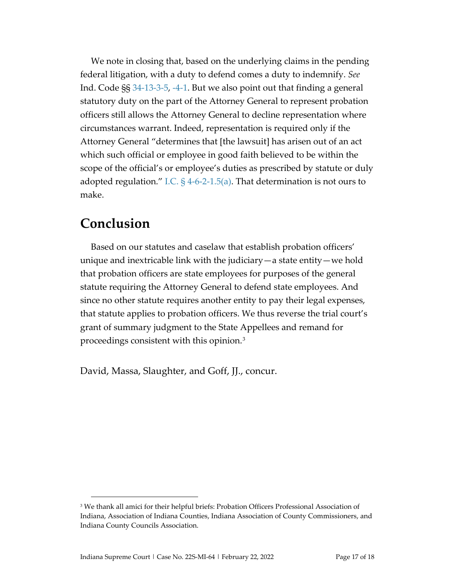We note in closing that, based on the underlying claims in the pending federal litigation, with a duty to defend comes a duty to indemnify. *See* Ind. Code §§ [34-13-3-5,](https://1.next.westlaw.com/Document/NAFBC6760816D11DB8132CD13D2280436/View/FullText.html?transitionType=UniqueDocItem&contextData=(sc.UserEnteredCitation)&userEnteredCitation=I.C.+34-13-3-5) [-4-1.](https://1.next.westlaw.com/Document/NC5BB81E0816D11DB8132CD13D2280436/View/FullText.html?transitionType=UniqueDocItem&contextData=(sc.UserEnteredCitation)&userEnteredCitation=I.C.+34-13-4-1) But we also point out that finding a general statutory duty on the part of the Attorney General to represent probation officers still allows the Attorney General to decline representation where circumstances warrant. Indeed, representation is required only if the Attorney General "determines that [the lawsuit] has arisen out of an act which such official or employee in good faith believed to be within the scope of the official's or employee's duties as prescribed by statute or duly adopted regulation." I.C.  $\S$  4-6-2-1.5(a). That determination is not ours to make.

## **Conclusion**

Based on our statutes and caselaw that establish probation officers' unique and inextricable link with the judiciary—a state entity—we hold that probation officers are state employees for purposes of the general statute requiring the Attorney General to defend state employees. And since no other statute requires another entity to pay their legal expenses, that statute applies to probation officers. We thus reverse the trial court's grant of summary judgment to the State Appellees and remand for proceedings consistent with this opinion.[3](#page-16-0)

David, Massa, Slaughter, and Goff, JJ., concur.

<span id="page-16-0"></span><sup>&</sup>lt;sup>3</sup> We thank all amici for their helpful briefs: Probation Officers Professional Association of Indiana, Association of Indiana Counties, Indiana Association of County Commissioners, and Indiana County Councils Association.